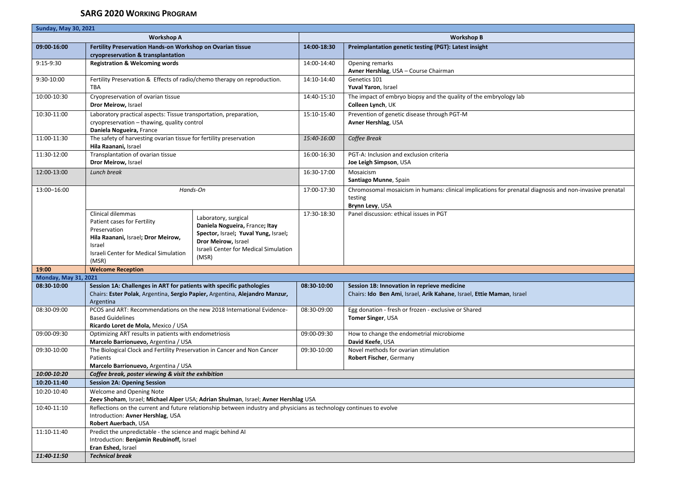| <b>Sunday, May 30, 2021</b> |                                                                                                                                                                    |                                                                                                                                                                                |             |                                                                                                                                       |  |  |
|-----------------------------|--------------------------------------------------------------------------------------------------------------------------------------------------------------------|--------------------------------------------------------------------------------------------------------------------------------------------------------------------------------|-------------|---------------------------------------------------------------------------------------------------------------------------------------|--|--|
|                             | <b>Workshop A</b>                                                                                                                                                  |                                                                                                                                                                                |             | <b>Workshop B</b>                                                                                                                     |  |  |
| 09:00-16:00                 | Fertility Preservation Hands-on Workshop on Ovarian tissue                                                                                                         |                                                                                                                                                                                | 14:00-18:30 | Preimplantation genetic testing (PGT): Latest insight                                                                                 |  |  |
|                             | cryopreservation & transplantation                                                                                                                                 |                                                                                                                                                                                |             |                                                                                                                                       |  |  |
| 9:15-9:30                   | <b>Registration &amp; Welcoming words</b>                                                                                                                          |                                                                                                                                                                                | 14:00-14:40 | Opening remarks<br>Avner Hershlag, USA - Course Chairman                                                                              |  |  |
| 9:30-10:00                  | Fertility Preservation & Effects of radio/chemo therapy on reproduction.<br>TBA                                                                                    |                                                                                                                                                                                | 14:10-14:40 | Genetics 101<br>Yuval Yaron, Israel                                                                                                   |  |  |
| 10:00-10:30                 | Cryopreservation of ovarian tissue<br>Dror Meirow, Israel                                                                                                          |                                                                                                                                                                                | 14:40-15:10 | The impact of embryo biopsy and the quality of the embryology lab<br>Colleen Lynch, UK                                                |  |  |
| 10:30-11:00                 | Laboratory practical aspects: Tissue transportation, preparation,<br>cryopreservation - thawing, quality control                                                   |                                                                                                                                                                                | 15:10-15:40 | Prevention of genetic disease through PGT-M<br>Avner Hershlag, USA                                                                    |  |  |
|                             | Daniela Nogueira, France                                                                                                                                           |                                                                                                                                                                                |             |                                                                                                                                       |  |  |
| 11:00-11:30                 | The safety of harvesting ovarian tissue for fertility preservation<br>Hila Raanani, Israel                                                                         |                                                                                                                                                                                | 15:40-16:00 | Coffee Break                                                                                                                          |  |  |
| 11:30-12:00                 | Transplantation of ovarian tissue<br>Dror Meirow, Israel                                                                                                           |                                                                                                                                                                                | 16:00-16:30 | PGT-A: Inclusion and exclusion criteria<br>Joe Leigh Simpson, USA                                                                     |  |  |
| 12:00-13:00                 | Lunch break                                                                                                                                                        |                                                                                                                                                                                | 16:30-17:00 | Mosaicism<br>Santiago Munne, Spain                                                                                                    |  |  |
| 13:00-16:00                 | Hands-On                                                                                                                                                           |                                                                                                                                                                                | 17:00-17:30 | Chromosomal mosaicism in humans: clinical implications for prenatal diagnosis and non-invasive prenatal<br>testing<br>Brynn Levy, USA |  |  |
|                             | Clinical dilemmas<br>Patient cases for Fertility<br>Preservation<br>Hila Raanani, Israel; Dror Meirow,<br>Israel<br>Israeli Center for Medical Simulation<br>(MSR) | Laboratory, surgical<br>Daniela Nogueira, France; Itay<br>Spector, Israel; Yuval Yung, Israel;<br>Dror Meirow, Israel<br><b>Israeli Center for Medical Simulation</b><br>(MSR) | 17:30-18:30 | Panel discussion: ethical issues in PGT                                                                                               |  |  |
| 19:00                       | <b>Welcome Reception</b>                                                                                                                                           |                                                                                                                                                                                |             |                                                                                                                                       |  |  |
| <b>Monday, May 31, 2021</b> |                                                                                                                                                                    |                                                                                                                                                                                |             |                                                                                                                                       |  |  |
| 08:30-10:00                 | Session 1A: Challenges in ART for patients with specific pathologies<br>Chairs: Ester Polak, Argentina, Sergio Papier, Argentina, Alejandro Manzur,<br>Argentina   |                                                                                                                                                                                | 08:30 10:00 | Session 1B: Innovation in reprieve medicine<br>Chairs: Ido Ben Ami, Israel, Arik Kahane, Israel, Ettie Maman, Israel                  |  |  |
| 08:30-09:00                 | PCOS and ART: Recommendations on the new 2018 International Evidence-<br><b>Based Guidelines</b><br>Ricardo Loret de Mola, Mexico / USA                            |                                                                                                                                                                                | 08:30-09:00 | Egg donation - fresh or frozen - exclusive or Shared<br>Tomer Singer, USA                                                             |  |  |
| 09:00-09:30                 | Optimizing ART results in patients with endometriosis<br>Marcelo Barrionuevo, Argentina / USA                                                                      |                                                                                                                                                                                | 09:00-09:30 | How to change the endometrial microbiome<br>David Keefe, USA                                                                          |  |  |
| 09:30-10:00                 | The Biological Clock and Fertility Preservation in Cancer and Non Cancer<br>Patients<br>Marcelo Barrionuevo, Argentina / USA                                       |                                                                                                                                                                                | 09:30-10:00 | Novel methods for ovarian stimulation<br>Robert Fischer, Germany                                                                      |  |  |
| 10:00-10:20                 | Coffee break, poster viewing & visit the exhibition                                                                                                                |                                                                                                                                                                                |             |                                                                                                                                       |  |  |
| 10:20-11:40                 | <b>Session 2A: Opening Session</b>                                                                                                                                 |                                                                                                                                                                                |             |                                                                                                                                       |  |  |
| 10:20-10:40                 | Welcome and Opening Note<br>Zeev Shoham, Israel; Michael Alper USA; Adrian Shulman, Israel; Avner Hershlag USA                                                     |                                                                                                                                                                                |             |                                                                                                                                       |  |  |
| 10:40-11:10                 | Reflections on the current and future relationship between industry and physicians as technology continues to evolve                                               |                                                                                                                                                                                |             |                                                                                                                                       |  |  |
|                             | Introduction: Avner Hershlag, USA<br>Robert Auerbach, USA                                                                                                          |                                                                                                                                                                                |             |                                                                                                                                       |  |  |
| 11:10-11:40                 | Predict the unpredictable - the science and magic behind AI                                                                                                        |                                                                                                                                                                                |             |                                                                                                                                       |  |  |
|                             |                                                                                                                                                                    | Introduction: Benjamin Reubinoff, Israel                                                                                                                                       |             |                                                                                                                                       |  |  |
|                             | Eran Eshed, Israel                                                                                                                                                 |                                                                                                                                                                                |             |                                                                                                                                       |  |  |
| 11:40-11:50                 | <b>Technical break</b>                                                                                                                                             |                                                                                                                                                                                |             |                                                                                                                                       |  |  |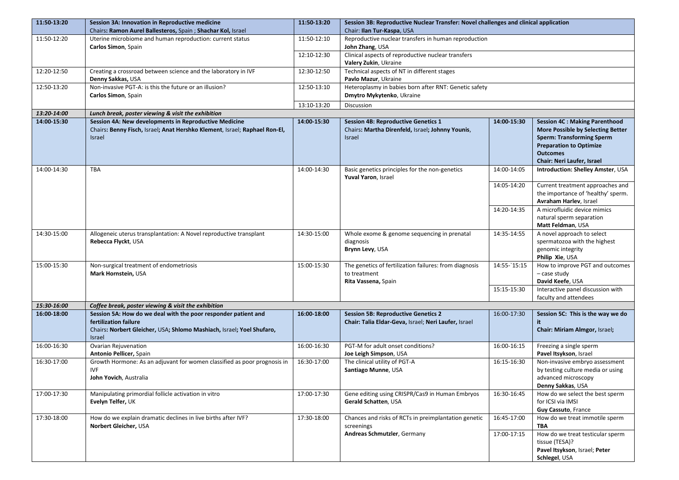| 11:50-13:20 | Session 3A: Innovation in Reproductive medicine                             | 11:50 13:20 | Session 3B: Reproductive Nuclear Transfer: Novel challenges and clinical application |                 |                                                        |
|-------------|-----------------------------------------------------------------------------|-------------|--------------------------------------------------------------------------------------|-----------------|--------------------------------------------------------|
|             | Chairs: Ramon Aurel Ballesteros, Spain ; Shachar Kol, Israel                |             | Chair: Ilan Tur-Kaspa, USA                                                           |                 |                                                        |
| 11:50-12:20 | Uterine microbiome and human reproduction: current status                   | 11:50-12:10 | Reproductive nuclear transfers in human reproduction                                 |                 |                                                        |
|             | Carlos Simon, Spain                                                         |             | John Zhang, USA                                                                      |                 |                                                        |
|             |                                                                             | 12:10-12:30 | Clinical aspects of reproductive nuclear transfers                                   |                 |                                                        |
|             |                                                                             |             | Valery Zukin, Ukraine                                                                |                 |                                                        |
| 12:20-12:50 | Creating a crossroad between science and the laboratory in IVF              | 12:30-12:50 | Technical aspects of NT in different stages                                          |                 |                                                        |
| 12:50-13:20 | Denny Sakkas, USA<br>Non-invasive PGT-A: is this the future or an illusion? | 12:50-13:10 | Pavlo Mazur, Ukraine<br>Heteroplasmy in babies born after RNT: Genetic safety        |                 |                                                        |
|             | Carlos Simon, Spain                                                         |             | Dmytro Mykytenko, Ukraine                                                            |                 |                                                        |
|             |                                                                             | 13:10-13:20 | Discussion                                                                           |                 |                                                        |
| 13:20-14:00 | Lunch break, poster viewing & visit the exhibition                          |             |                                                                                      |                 |                                                        |
| 14:00-15:30 | Session 4A: New developments in Reproductive Medicine                       | 14:00-15:30 | <b>Session 4B: Reproductive Genetics 1</b>                                           | 14:00-15:30     | <b>Session 4C: Making Parenthood</b>                   |
|             | Chairs: Benny Fisch, Israel; Anat Hershko Klement, Israel; Raphael Ron-El,  |             | Chairs: Martha Direnfeld, Israel; Johnny Younis,                                     |                 | More Possible by Selecting Better                      |
|             | <b>Israel</b>                                                               |             | <b>Israel</b>                                                                        |                 | <b>Sperm: Transforming Sperm</b>                       |
|             |                                                                             |             |                                                                                      |                 | <b>Preparation to Optimize</b>                         |
|             |                                                                             |             |                                                                                      |                 | <b>Outcomes</b>                                        |
|             |                                                                             |             |                                                                                      |                 | Chair: Neri Laufer, Israel                             |
| 14:00-14:30 | <b>TBA</b>                                                                  | 14:00-14:30 | Basic genetics principles for the non-genetics<br>Yuval Yaron, Israel                | 14:00-14:05     | Introduction: Shelley Amster, USA                      |
|             |                                                                             |             |                                                                                      | 14:05-14:20     | Current treatment approaches and                       |
|             |                                                                             |             |                                                                                      |                 | the importance of 'healthy' sperm.                     |
|             |                                                                             |             |                                                                                      |                 | Avraham Harlev, Israel<br>A microfluidic device mimics |
|             |                                                                             |             |                                                                                      | 14:20-14:35     | natural sperm separation                               |
|             |                                                                             |             |                                                                                      |                 | Matt Feldman, USA                                      |
| 14:30-15:00 | Allogeneic uterus transplantation: A Novel reproductive transplant          | 14:30-15:00 | Whole exome & genome sequencing in prenatal                                          | 14:35-14:55     | A novel approach to select                             |
|             | Rebecca Flyckt, USA                                                         |             | diagnosis                                                                            |                 | spermatozoa with the highest                           |
|             |                                                                             |             | Brynn Levy, USA                                                                      |                 | genomic integrity                                      |
|             |                                                                             |             |                                                                                      |                 | Philip Xie, USA                                        |
| 15:00-15:30 | Non-surgical treatment of endometriosis                                     | 15:00-15:30 | The genetics of fertilization failures: from diagnosis                               | $14:55 - 15:15$ | How to improve PGT and outcomes                        |
|             | Mark Hornstein, USA                                                         |             | to treatment<br>Rita Vassena, Spain                                                  |                 | - case study<br>David Keefe, USA                       |
|             |                                                                             |             |                                                                                      | 15:15-15:30     | Interactive panel discussion with                      |
|             |                                                                             |             |                                                                                      |                 | faculty and attendees                                  |
| 15:30-16:00 | Coffee break, poster viewing & visit the exhibition                         |             |                                                                                      |                 |                                                        |
| 16:00-18:00 | Session 5A: How do we deal with the poor responder patient and              | 16:00-18:00 | <b>Session 5B: Reproductive Genetics 2</b>                                           | 16:00-17:30     | Session 5C: This is the way we do                      |
|             | fertilization failure                                                       |             | Chair: Talia Eldar-Geva, Israel; Neri Laufer, Israel                                 |                 | it                                                     |
|             | Chairs: Norbert Gleicher, USA; Shlomo Mashiach, Israel; Yoel Shufaro,       |             |                                                                                      |                 | Chair: Miriam Almgor, Israel;                          |
| 16:00-16:30 | <b>Israel</b><br>Ovarian Rejuvenation                                       | 16:00-16:30 | PGT-M for adult onset conditions?                                                    | 16:00-16:15     | Freezing a single sperm                                |
|             | Antonio Pellicer, Spain                                                     |             | Joe Leigh Simpson, USA                                                               |                 | Pavel Itsykson, Israel                                 |
| 16:30-17:00 | Growth Hormone: As an adjuvant for women classified as poor prognosis in    | 16:30-17:00 | The clinical utility of PGT-A                                                        | 16:15-16:30     | Non-invasive embryo assessment                         |
|             | <b>IVF</b>                                                                  |             | Santiago Munne, USA                                                                  |                 | by testing culture media or using                      |
|             | John Yovich, Australia                                                      |             |                                                                                      |                 | advanced microscopy                                    |
|             |                                                                             |             |                                                                                      |                 | Denny Sakkas, USA                                      |
| 17:00-17:30 | Manipulating primordial follicle activation in vitro                        | 17:00-17:30 | Gene editing using CRISPR/Cas9 in Human Embryos                                      | 16:30-16:45     | How do we select the best sperm                        |
|             | Evelyn Telfer, UK                                                           |             | Gerald Schatten, USA                                                                 |                 | for ICSI via IMSI<br>Guy Cassuto, France               |
| 17:30-18:00 | How do we explain dramatic declines in live births after IVF?               | 17:30-18:00 | Chances and risks of RCTs in preimplantation genetic                                 | 16:45-17:00     | How do we treat immotile sperm                         |
|             | Norbert Gleicher, USA                                                       |             | screenings                                                                           |                 | <b>TBA</b>                                             |
|             |                                                                             |             | Andreas Schmutzler, Germany                                                          | 17:00-17:15     | How do we treat testicular sperm                       |
|             |                                                                             |             |                                                                                      |                 | tissue (TESA)?                                         |
|             |                                                                             |             |                                                                                      |                 | Pavel Itsykson, Israel; Peter                          |
|             |                                                                             |             |                                                                                      |                 | Schlegel, USA                                          |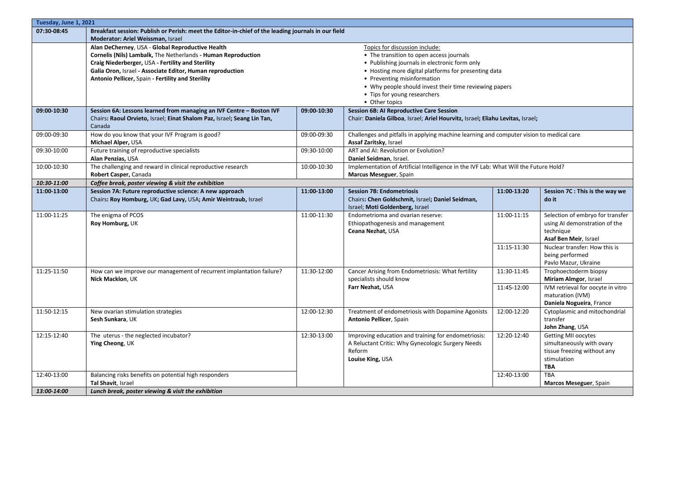|             | Tuesday, June 1, 2021                                                                                     |                                                      |                                                                                          |             |                                   |  |
|-------------|-----------------------------------------------------------------------------------------------------------|------------------------------------------------------|------------------------------------------------------------------------------------------|-------------|-----------------------------------|--|
| 07:30-08:45 | Breakfast session: Publish or Perish: meet the Editor-in-chief of the leading journals in our field       |                                                      |                                                                                          |             |                                   |  |
|             | Moderator: Ariel Weissman, Israel                                                                         |                                                      |                                                                                          |             |                                   |  |
|             | Alan DeCherney, USA - Global Reproductive Health                                                          |                                                      | Topics for discussion include:                                                           |             |                                   |  |
|             | Cornelis (Nils) Lambalk, The Netherlands - Human Reproduction<br>• The transition to open access journals |                                                      |                                                                                          |             |                                   |  |
|             | Craig Niederberger, USA - Fertility and Sterility                                                         |                                                      | • Publishing journals in electronic form only                                            |             |                                   |  |
|             | Galia Oron, Israel - Associate Editor, Human reproduction                                                 | • Hosting more digital platforms for presenting data |                                                                                          |             |                                   |  |
|             | Antonio Pellicer, Spain - Fertility and Sterility<br>• Preventing misinformation                          |                                                      |                                                                                          |             |                                   |  |
|             | • Why people should invest their time reviewing papers                                                    |                                                      |                                                                                          |             |                                   |  |
|             | • Tips for young researchers                                                                              |                                                      |                                                                                          |             |                                   |  |
|             | • Other topics                                                                                            |                                                      |                                                                                          |             |                                   |  |
| 09:00-10:30 | Session 6A: Lessons learned from managing an IVF Centre - Boston IVF                                      | 09:00-10:30                                          | <b>Session 6B: AI Reproductive Care Session</b>                                          |             |                                   |  |
|             | Chairs: Raoul Orvieto, Israel; Einat Shalom Paz, Israel; Seang Lin Tan,                                   |                                                      | Chair: Daniela Gilboa, Israel; Ariel Hourvitz, Israel; Eliahu Levitas, Israel;           |             |                                   |  |
|             | Canada                                                                                                    |                                                      |                                                                                          |             |                                   |  |
| 09:00-09:30 | How do you know that your IVF Program is good?                                                            | 09:00-09:30                                          | Challenges and pitfalls in applying machine learning and computer vision to medical care |             |                                   |  |
|             | Michael Alper, USA                                                                                        |                                                      | Assaf Zaritsky, Israel                                                                   |             |                                   |  |
| 09:30-10:00 | Future training of reproductive specialists                                                               | 09:30-10:00                                          | ART and AI: Revolution or Evolution?                                                     |             |                                   |  |
|             | Alan Penzias, USA                                                                                         |                                                      | Daniel Seidman, Israel.                                                                  |             |                                   |  |
| 10:00-10:30 | The challenging and reward in clinical reproductive research                                              | 10:00-10:30                                          | Implementation of Artificial Intelligence in the IVF Lab: What Will the Future Hold?     |             |                                   |  |
|             | Robert Casper, Canada                                                                                     |                                                      | Marcus Meseguer, Spain                                                                   |             |                                   |  |
| 10:30-11:00 | Coffee break, poster viewing & visit the exhibition                                                       |                                                      |                                                                                          |             |                                   |  |
| 11:00-13:00 | Session 7A: Future reproductive science: A new approach                                                   | 11:00-13:00                                          | <b>Session 7B: Endometriosis</b>                                                         | 11:00-13:20 | Session 7C : This is the way we   |  |
|             | Chairs: Roy Homburg, UK; Gad Lavy, USA; Amir Weintraub, Israel                                            |                                                      | Chairs: Chen Goldschmit, Israel; Daniel Seidman,                                         |             | do it                             |  |
|             |                                                                                                           |                                                      | Israel; Moti Goldenberg, Israel                                                          |             |                                   |  |
| 11:00-11:25 | The enigma of PCOS                                                                                        | 11:00-11:30                                          | Endometrioma and ovarian reserve:                                                        | 11:00-11:15 | Selection of embryo for transfer  |  |
|             | Roy Homburg, UK                                                                                           |                                                      | Ethiopathogenesis and management                                                         |             | using AI demonstration of the     |  |
|             |                                                                                                           |                                                      | Ceana Nezhat, USA                                                                        |             | technique                         |  |
|             |                                                                                                           |                                                      |                                                                                          |             | Asaf Ben Meir, Israel             |  |
|             |                                                                                                           |                                                      |                                                                                          | 11:15-11:30 | Nuclear transfer: How this is     |  |
|             |                                                                                                           |                                                      |                                                                                          |             | being performed                   |  |
|             |                                                                                                           |                                                      |                                                                                          |             | Pavlo Mazur, Ukraine              |  |
| 11:25-11:50 | How can we improve our management of recurrent implantation failure?                                      | 11:30-12:00                                          | Cancer Arising from Endometriosis: What fertility                                        | 11:30-11:45 | Trophoectoderm biopsy             |  |
|             | Nick Macklon, UK                                                                                          |                                                      | specialists should know                                                                  |             | Miriam Almgor, Israel             |  |
|             |                                                                                                           |                                                      | Farr Nezhat, USA                                                                         | 11:45-12:00 | IVM retrieval for oocyte in vitro |  |
|             |                                                                                                           |                                                      |                                                                                          |             | maturation (IVM)                  |  |
|             |                                                                                                           |                                                      |                                                                                          |             | Daniela Nogueira, France          |  |
| 11:50-12:15 | New ovarian stimulation strategies                                                                        | 12:00-12:30                                          | Treatment of endometriosis with Dopamine Agonists                                        | 12:00-12:20 | Cytoplasmic and mitochondrial     |  |
|             | Sesh Sunkara, UK                                                                                          |                                                      | Antonio Pellicer, Spain                                                                  |             | transfer                          |  |
|             |                                                                                                           |                                                      |                                                                                          |             | John Zhang, USA                   |  |
| 12:15-12:40 | The uterus - the neglected incubator?                                                                     | 12:30-13:00                                          | Improving education and training for endometriosis:                                      | 12:20-12:40 | <b>Getting MII oocytes</b>        |  |
|             | Ying Cheong, UK                                                                                           |                                                      | A Reluctant Critic: Why Gynecologic Surgery Needs                                        |             | simultaneously with ovary         |  |
|             |                                                                                                           |                                                      | Reform                                                                                   |             | tissue freezing without any       |  |
|             |                                                                                                           |                                                      | Louise King, USA                                                                         |             | stimulation                       |  |
|             |                                                                                                           |                                                      |                                                                                          |             | <b>TBA</b>                        |  |
| 12:40-13:00 | Balancing risks benefits on potential high responders                                                     |                                                      |                                                                                          | 12:40-13:00 | <b>TBA</b>                        |  |
|             | Tal Shavit, Israel                                                                                        |                                                      |                                                                                          |             | Marcos Meseguer, Spain            |  |
| 13:00-14:00 | Lunch break, poster viewing & visit the exhibition                                                        |                                                      |                                                                                          |             |                                   |  |